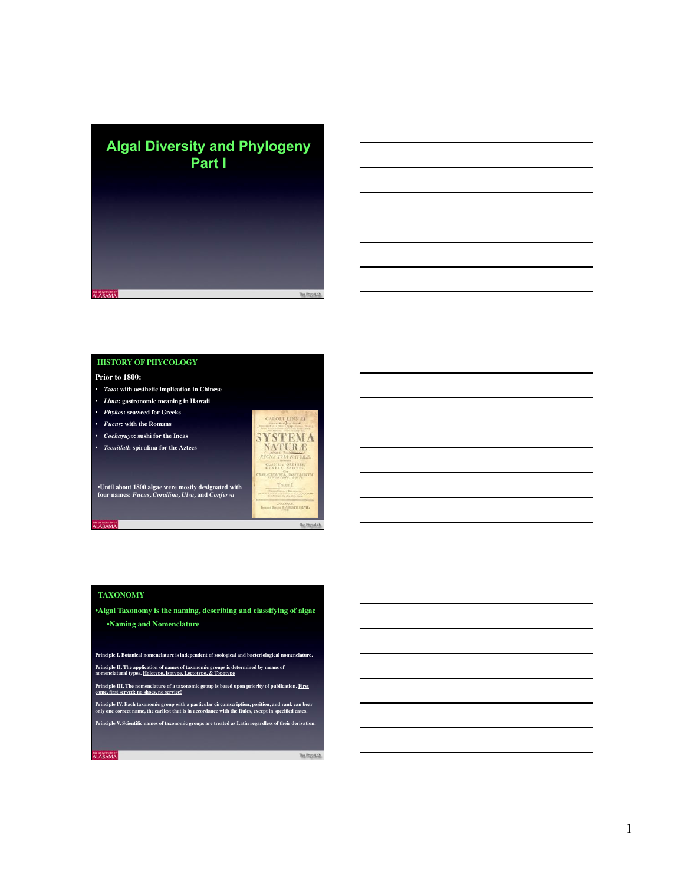

## **HISTORY OF PHYCOLOGY**

#### **Prior to 1800:**

- *Tsao***: with aesthetic implication in Chinese**
- *Limu***: gastronomic meaning in Hawaii**
- *Phykos***: seaweed for Greeks**
- *Fucus***: with the Romans**
- *Cochayuyo***: sushi for the Incas**
- *Tecuitlatl***: spirulina for the Aztecs**



•**Until about 1800 algae were mostly designated with four names:** *Fucus, Corallina, Ulva,* **and** *Conferva*

### **TAXONOMY**

**MABAMA** 

**ABAMA** 

•**Algal Taxonomy is the naming, describing and classifying of algae** •**Naming and Nomenclature**

**Principle I. Botanical nomenclature is independent of zoological and bacteriological nomenclature. Principle II. The application of names of taxonomic groups is determined by means of nomenclatural types. Holotype, Isotype, Lectotype, & Topotype**

**Principle III. The nomenclature of a taxonomic group is based upon priority of publication. First nciple III. The nomenclature of a taxor**<br>ac. first served; no shoes, no service!

**Principle IV. Each taxonomic group with a particular circumscription, position, and rank can bear only one correct name, the earliest that is in accordance with the Rules, except in specified cases.**

**Principle V. Scientific names of taxonomic groups are treated as Latin regardless of their derivation.**

The PhycoLa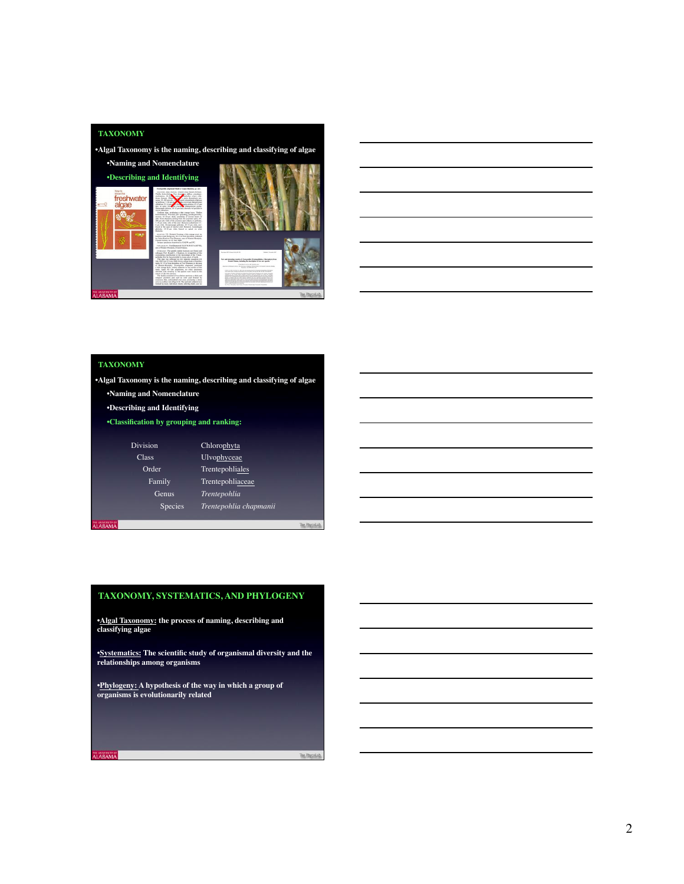



# **TAXONOMY**

**LABAMA** 

•**Algal Taxonomy is the naming, describing and classifying of algae**

- •**Naming and Nomenclature**
- •**Describing and Identifying**
- •**Classification by grouping and ranking:**

|               | <b>Division</b> | Chlorophyta            |  |
|---------------|-----------------|------------------------|--|
| <b>Class</b>  |                 | Ulvophyceae            |  |
|               | Order           | Trentepohliales        |  |
|               | <b>Family</b>   | Trentepohliaceae       |  |
|               | Genus           | Trentepohlia           |  |
|               | Species         | Trentepohlia chapmanii |  |
| <b>LABAMA</b> |                 |                        |  |

## **TAXONOMY, SYSTEMATICS, AND PHYLOGENY**

•**Algal Taxonomy: the process of naming, describing and classifying algae**

•**Systematics: The scientific study of organismal diversity and the relationships among organisms**

•**Phylogeny: A hypothesis of the way in which a group of organisms is evolutionarily related**

The PA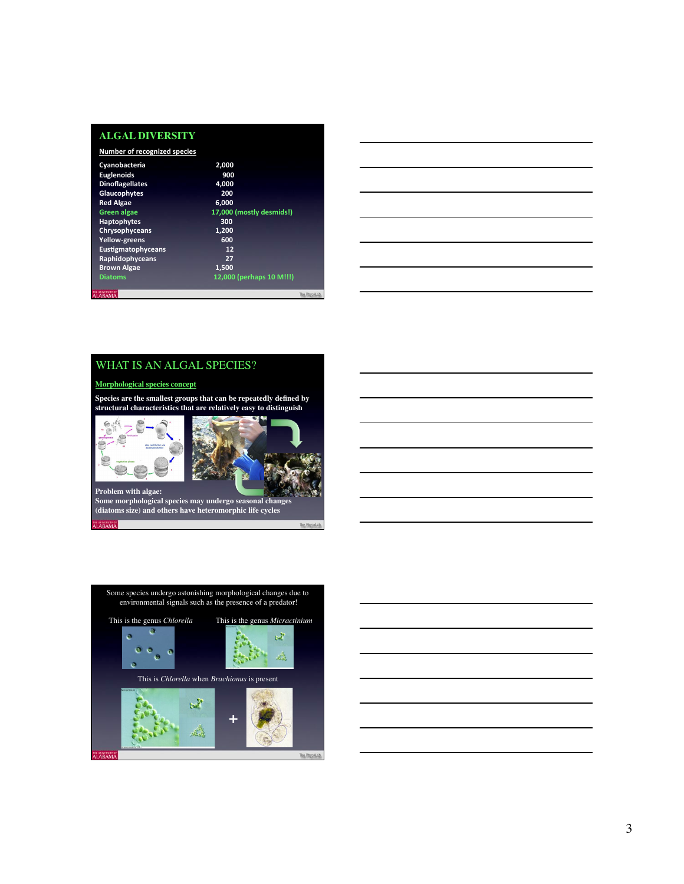| ALGAL DIVERSITY |  |
|-----------------|--|

| 17,000 (mostly desmids!)<br>12,000 (perhaps 10 M!!!) |
|------------------------------------------------------|
|                                                      |
|                                                      |
|                                                      |
|                                                      |
|                                                      |
|                                                      |
|                                                      |
|                                                      |
|                                                      |
|                                                      |
|                                                      |
|                                                      |
|                                                      |
|                                                      |



# WHAT IS AN ALGAL SPECIES?

### **Morphological species concept**

**Species are the smallest groups that can be repeatedly defined by structural characteristics that are relatively easy to distinguish**





**Some morphological species may undergo seasonal changes (diatoms size) and others have heteromorphic life cycles**

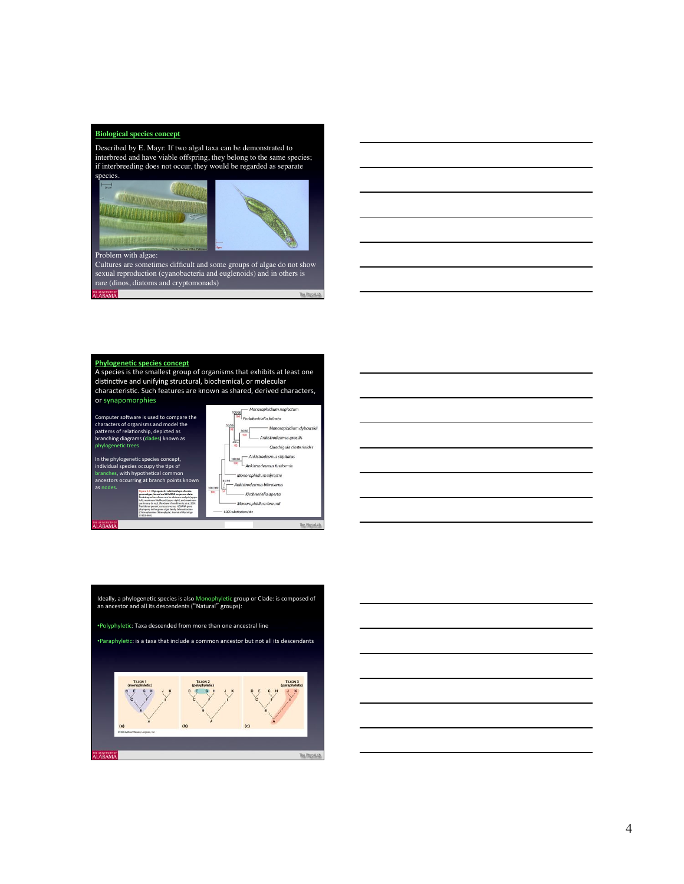### **Biological species concept**

Described by E. Mayr: If two algal taxa can be demonstrated to interbreed and have viable offspring, they belong to the same species; if interbreeding does not occur, they would be regarded as separate





- Monoraphidium nealectum

#### Problem with algae:

Cultures are sometimes difficult and some groups of algae do not show sexual reproduction (cyanobacteria and euglenoids) and in others is rare (dinos, diatoms and cryptomonads) **NRAMA**  $The  $P2$$ 

#### **Phylogenetic species concept**

**BAMA** 

A species is the smallest group of organisms that exhibits at least one distinctive and unifying structural, biochemical, or molecular characteristic. Such features are known as shared, derived characters, or synapomorphies

100/86 Monoraphidium ne<br>| Podohedriella falcata Computer software is used to compare the<br>patterns of relationship, depicted as<br>patterns of relationship, depicted as<br>branching diagrams (clades) known as<br>phylogenetic trees - Monoraphidium dybowskii - Ankistrodesmus gracilis -<br>Quadriqula closterioides Ankistrodesmus stipitatus In the phylogenetic species concept, 100/98 L<br>Ankistrodesmus fusiformis individual species occupy the tips of<br>branches, with hypothetical common<br>ancestors occurring at branch points known Monoraphidium terrestre - Ankistrodesmus bibraianus  $\overline{a}$ s  $\frac{100/1}{100}$  $\overline{\phantom{a}}$ - Kirchneriella aperta aes shown are tor custa<br>n likelihood (upper rig)<br>.nell: (Re deman from K Monoraphidium braunii - 0.005 substitutions/site